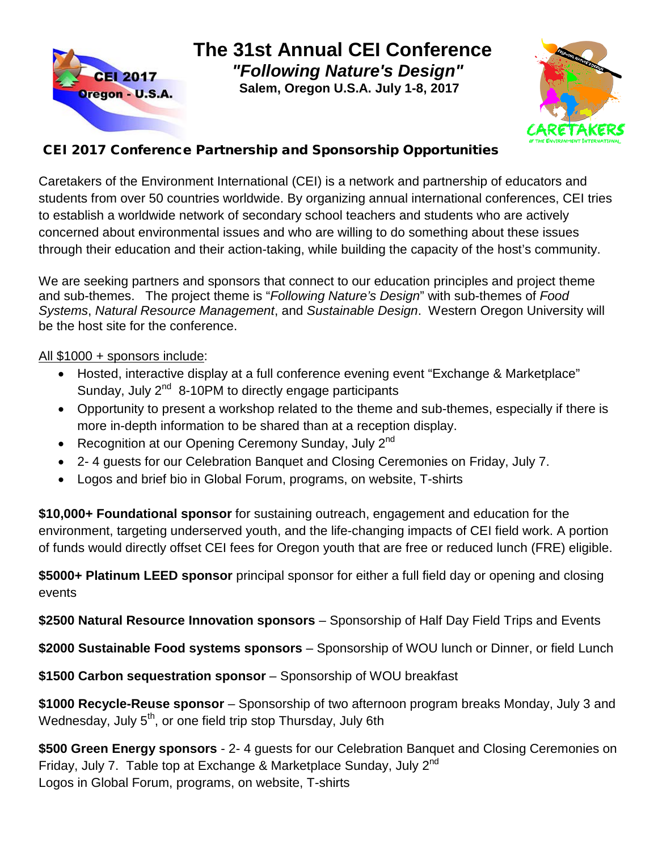

**The 31st Annual CEI Conference**  *"Following Nature's Design"*

 **Salem, Oregon U.S.A. July 1-8, 2017**



#### CEI 2017 Conference Partnership and Sponsorship Opportunities

Caretakers of the Environment International (CEI) is a network and partnership of educators and students from over 50 countries worldwide. By organizing annual international conferences, CEI tries to establish a worldwide network of secondary school teachers and students who are actively concerned about environmental issues and who are willing to do something about these issues through their education and their action-taking, while building the capacity of the host's community.

We are seeking partners and sponsors that connect to our education principles and project theme and sub-themes. The project theme is "*Following Nature's Design*" with sub-themes of *Food Systems*, *Natural Resource Management*, and *Sustainable Design*. Western Oregon University will be the host site for the conference.

#### All \$1000 + sponsors include:

- Hosted, interactive display at a full conference evening event "Exchange & Marketplace" Sunday, July 2<sup>nd</sup> 8-10PM to directly engage participants
- Opportunity to present a workshop related to the theme and sub-themes, especially if there is more in-depth information to be shared than at a reception display.
- Recognition at our Opening Ceremony Sunday, July  $2^{nd}$
- 2- 4 guests for our Celebration Banquet and Closing Ceremonies on Friday, July 7.
- Logos and brief bio in Global Forum, programs, on website, T-shirts

**\$10,000+ Foundational sponsor** for sustaining outreach, engagement and education for the environment, targeting underserved youth, and the life-changing impacts of CEI field work. A portion of funds would directly offset CEI fees for Oregon youth that are free or reduced lunch (FRE) eligible.

**\$5000+ Platinum LEED sponsor** principal sponsor for either a full field day or opening and closing events

**\$2500 Natural Resource Innovation sponsors** – Sponsorship of Half Day Field Trips and Events

**\$2000 Sustainable Food systems sponsors** – Sponsorship of WOU lunch or Dinner, or field Lunch

**\$1500 Carbon sequestration sponsor** – Sponsorship of WOU breakfast

**\$1000 Recycle-Reuse sponsor** – Sponsorship of two afternoon program breaks Monday, July 3 and Wednesday, July 5<sup>th</sup>, or one field trip stop Thursday, July 6th

**\$500 Green Energy sponsors** - 2- 4 guests for our Celebration Banquet and Closing Ceremonies on Friday, July 7. Table top at Exchange & Marketplace Sunday, July 2<sup>nd</sup> Logos in Global Forum, programs, on website, T-shirts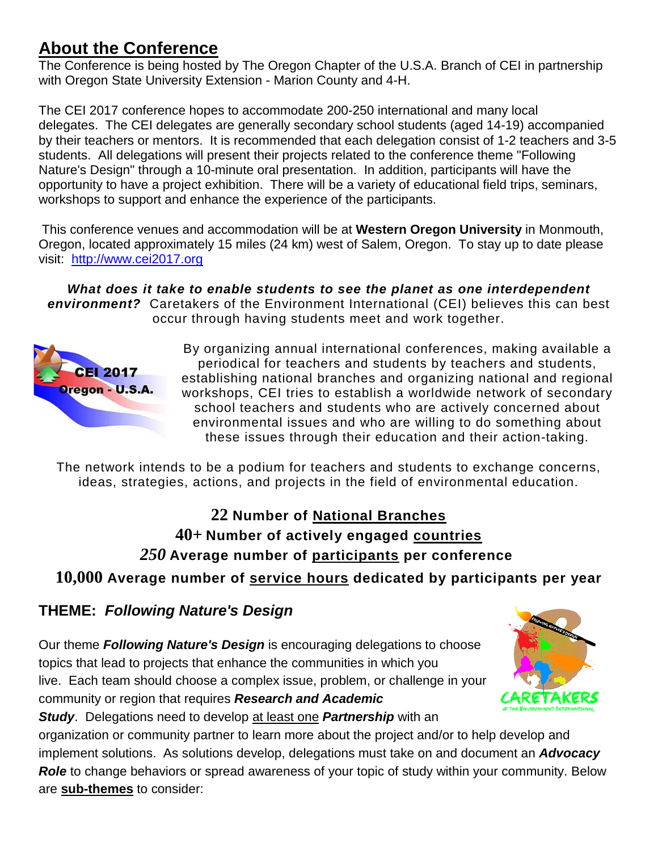### **About the Conference**

The Conference is being hosted by The Oregon Chapter of the U.S.A. Branch of CEI in partnership with Oregon State University Extension - Marion County and 4-H.

The CEI 2017 conference hopes to accommodate 200-250 international and many local delegates. The CEI delegates are generally secondary school students (aged 14-19) accompanied by their teachers or mentors. It is recommended that each delegation consist of 1-2 teachers and 3-5 students. All delegations will present their projects related to the conference theme "Following Nature's Design" through a 10-minute oral presentation. In addition, participants will have the opportunity to have a project exhibition. There will be a variety of educational field trips, seminars, workshops to support and enhance the experience of the participants.

This conference venues and accommodation will be at **Western Oregon University** in Monmouth, Oregon, located approximately 15 miles (24 km) west of Salem, Oregon. To stay up to date please visit: [http://www.cei2017.org](http://www.cei2017.org/)

*What does it take to enable students to see the planet as one interdependent environment?* Caretakers of the Environment International (CEI) believes this can best occur through having students meet and work together.



By organizing annual international conferences, making available a periodical for teachers and students by teachers and students, establishing national branches and organizing national and regional workshops, CEI tries to establish a worldwide network of secondary school teachers and students who are actively concerned about environmental issues and who are willing to do something about these issues through their education and their action-taking.

The network intends to be a podium for teachers and students to exchange concerns, ideas, strategies, actions, and projects in the field of environmental education.

## **22 Number of National Branches 40+ Number of actively engaged countries** *250* **Average number of participants per conference**

**10,000 Average number of service hours dedicated by participants per year**

#### **THEME:** *Following Nature's Design*

Our theme *Following Nature's Design* is encouraging delegations to choose topics that lead to projects that enhance the communities in which you live. Each team should choose a complex issue, problem, or challenge in your community or region that requires *Research and Academic Study*. Delegations need to develop at least one *Partnership* with an



organization or community partner to learn more about the project and/or to help develop and implement solutions. As solutions develop, delegations must take on and document an *Advocacy Role* to change behaviors or spread awareness of your topic of study within your community. Below are **sub-themes** to consider: